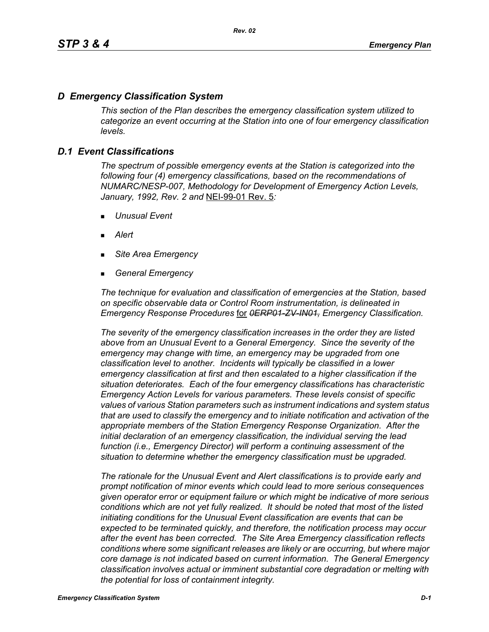# *D Emergency Classification System*

*This section of the Plan describes the emergency classification system utilized to categorize an event occurring at the Station into one of four emergency classification levels.*

## *D.1 Event Classifications*

*The spectrum of possible emergency events at the Station is categorized into the following four (4) emergency classifications, based on the recommendations of NUMARC/NESP-007, Methodology for Development of Emergency Action Levels, January, 1992, Rev. 2 and* NEI-99-01 Rev. 5*:*

- *Unusual Event*
- *Alert*
- *Site Area Emergency*
- *General Emergency*

*The technique for evaluation and classification of emergencies at the Station, based on specific observable data or Control Room instrumentation, is delineated in Emergency Response Procedures* for *0ERP01-ZV-IN01, Emergency Classification.*

*The severity of the emergency classification increases in the order they are listed above from an Unusual Event to a General Emergency. Since the severity of the emergency may change with time, an emergency may be upgraded from one classification level to another. Incidents will typically be classified in a lower emergency classification at first and then escalated to a higher classification if the situation deteriorates. Each of the four emergency classifications has characteristic Emergency Action Levels for various parameters. These levels consist of specific values of various Station parameters such as instrument indications and system status that are used to classify the emergency and to initiate notification and activation of the appropriate members of the Station Emergency Response Organization. After the initial declaration of an emergency classification, the individual serving the lead function (i.e., Emergency Director) will perform a continuing assessment of the situation to determine whether the emergency classification must be upgraded.*

*The rationale for the Unusual Event and Alert classifications is to provide early and prompt notification of minor events which could lead to more serious consequences given operator error or equipment failure or which might be indicative of more serious conditions which are not yet fully realized. It should be noted that most of the listed initiating conditions for the Unusual Event classification are events that can be expected to be terminated quickly, and therefore, the notification process may occur after the event has been corrected. The Site Area Emergency classification reflects conditions where some significant releases are likely or are occurring, but where major core damage is not indicated based on current information. The General Emergency classification involves actual or imminent substantial core degradation or melting with the potential for loss of containment integrity.*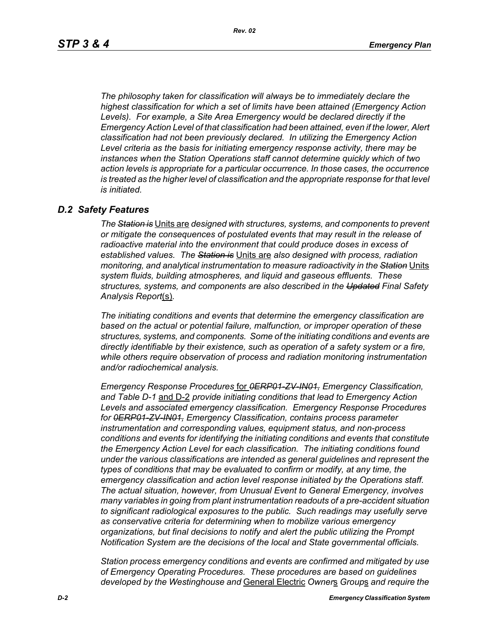*The philosophy taken for classification will always be to immediately declare the highest classification for which a set of limits have been attained (Emergency Action Levels). For example, a Site Area Emergency would be declared directly if the Emergency Action Level of that classification had been attained, even if the lower, Alert classification had not been previously declared. In utilizing the Emergency Action Level criteria as the basis for initiating emergency response activity, there may be instances when the Station Operations staff cannot determine quickly which of two action levels is appropriate for a particular occurrence. In those cases, the occurrence*  is treated as the higher level of classification and the appropriate response for that level *is initiated.*

#### *D.2 Safety Features*

*The Station is* Units are *designed with structures, systems, and components to prevent or mitigate the consequences of postulated events that may result in the release of radioactive material into the environment that could produce doses in excess of established values. The Station is* Units are *also designed with process, radiation monitoring, and analytical instrumentation to measure radioactivity in the Station* Units *system fluids, building atmospheres, and liquid and gaseous effluents. These structures, systems, and components are also described in the Updated Final Safety Analysis Report*(s)*.*

*The initiating conditions and events that determine the emergency classification are based on the actual or potential failure, malfunction, or improper operation of these structures, systems, and components. Some of the initiating conditions and events are directly identifiable by their existence, such as operation of a safety system or a fire, while others require observation of process and radiation monitoring instrumentation and/or radiochemical analysis.*

*Emergency Response Procedures* for *0ERP01-ZV-IN01, Emergency Classification, and Table D-1* and D-2 *provide initiating conditions that lead to Emergency Action Levels and associated emergency classification. Emergency Response Procedures for 0ERP01-ZV-IN01, Emergency Classification, contains process parameter instrumentation and corresponding values, equipment status, and non-process conditions and events for identifying the initiating conditions and events that constitute the Emergency Action Level for each classification. The initiating conditions found under the various classifications are intended as general guidelines and represent the types of conditions that may be evaluated to confirm or modify, at any time, the emergency classification and action level response initiated by the Operations staff. The actual situation, however, from Unusual Event to General Emergency, involves many variables in going from plant instrumentation readouts of a pre-accident situation to significant radiological exposures to the public. Such readings may usefully serve as conservative criteria for determining when to mobilize various emergency organizations, but final decisions to notify and alert the public utilizing the Prompt Notification System are the decisions of the local and State governmental officials.*

*Station process emergency conditions and events are confirmed and mitigated by use of Emergency Operating Procedures. These procedures are based on guidelines developed by the Westinghouse and* General Electric *Owner*s *Group*s *and require the*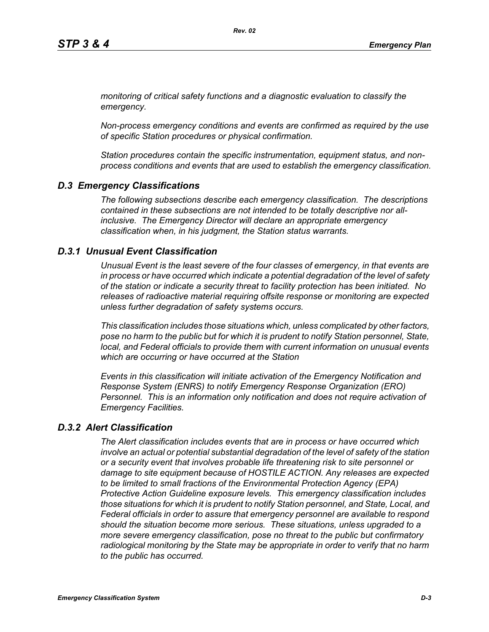*monitoring of critical safety functions and a diagnostic evaluation to classify the emergency.*

*Non-process emergency conditions and events are confirmed as required by the use of specific Station procedures or physical confirmation.*

*Station procedures contain the specific instrumentation, equipment status, and nonprocess conditions and events that are used to establish the emergency classification.*

## *D.3 Emergency Classifications*

*The following subsections describe each emergency classification. The descriptions contained in these subsections are not intended to be totally descriptive nor allinclusive. The Emergency Director will declare an appropriate emergency classification when, in his judgment, the Station status warrants.*

#### *D.3.1 Unusual Event Classification*

*Unusual Event is the least severe of the four classes of emergency, in that events are in process or have occurred which indicate a potential degradation of the level of safety of the station or indicate a security threat to facility protection has been initiated. No releases of radioactive material requiring offsite response or monitoring are expected unless further degradation of safety systems occurs.*

*This classification includes those situations which, unless complicated by other factors, pose no harm to the public but for which it is prudent to notify Station personnel, State, local, and Federal officials to provide them with current information on unusual events which are occurring or have occurred at the Station*

*Events in this classification will initiate activation of the Emergency Notification and Response System (ENRS) to notify Emergency Response Organization (ERO) Personnel. This is an information only notification and does not require activation of Emergency Facilities.* 

# *D.3.2 Alert Classification*

*The Alert classification includes events that are in process or have occurred which involve an actual or potential substantial degradation of the level of safety of the station or a security event that involves probable life threatening risk to site personnel or damage to site equipment because of HOSTILE ACTION. Any releases are expected to be limited to small fractions of the Environmental Protection Agency (EPA) Protective Action Guideline exposure levels. This emergency classification includes those situations for which it is prudent to notify Station personnel, and State, Local, and Federal officials in order to assure that emergency personnel are available to respond should the situation become more serious. These situations, unless upgraded to a more severe emergency classification, pose no threat to the public but confirmatory radiological monitoring by the State may be appropriate in order to verify that no harm to the public has occurred.*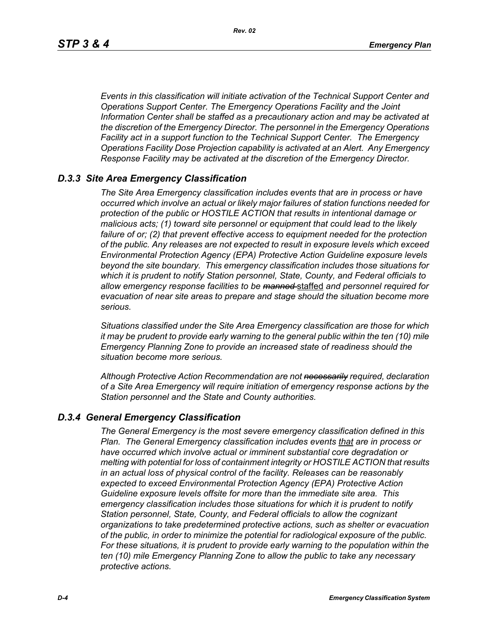*Events in this classification will initiate activation of the Technical Support Center and Operations Support Center. The Emergency Operations Facility and the Joint Information Center shall be staffed as a precautionary action and may be activated at the discretion of the Emergency Director. The personnel in the Emergency Operations Facility act in a support function to the Technical Support Center. The Emergency Operations Facility Dose Projection capability is activated at an Alert. Any Emergency Response Facility may be activated at the discretion of the Emergency Director.*

## *D.3.3 Site Area Emergency Classification*

*The Site Area Emergency classification includes events that are in process or have occurred which involve an actual or likely major failures of station functions needed for protection of the public or HOSTILE ACTION that results in intentional damage or malicious acts; (1) toward site personnel or equipment that could lead to the likely failure of or; (2) that prevent effective access to equipment needed for the protection of the public. Any releases are not expected to result in exposure levels which exceed Environmental Protection Agency (EPA) Protective Action Guideline exposure levels beyond the site boundary. This emergency classification includes those situations for which it is prudent to notify Station personnel, State, County, and Federal officials to allow emergency response facilities to be manned* staffed *and personnel required for evacuation of near site areas to prepare and stage should the situation become more serious.* 

*Situations classified under the Site Area Emergency classification are those for which it may be prudent to provide early warning to the general public within the ten (10) mile Emergency Planning Zone to provide an increased state of readiness should the situation become more serious.*

*Although Protective Action Recommendation are not necessarily required, declaration of a Site Area Emergency will require initiation of emergency response actions by the Station personnel and the State and County authorities.*

#### *D.3.4 General Emergency Classification*

*The General Emergency is the most severe emergency classification defined in this Plan. The General Emergency classification includes events that are in process or have occurred which involve actual or imminent substantial core degradation or melting with potential for loss of containment integrity or HOSTILE ACTION that results in an actual loss of physical control of the facility. Releases can be reasonably expected to exceed Environmental Protection Agency (EPA) Protective Action Guideline exposure levels offsite for more than the immediate site area. This emergency classification includes those situations for which it is prudent to notify Station personnel, State, County, and Federal officials to allow the cognizant organizations to take predetermined protective actions, such as shelter or evacuation of the public, in order to minimize the potential for radiological exposure of the public. For these situations, it is prudent to provide early warning to the population within the ten (10) mile Emergency Planning Zone to allow the public to take any necessary protective actions.*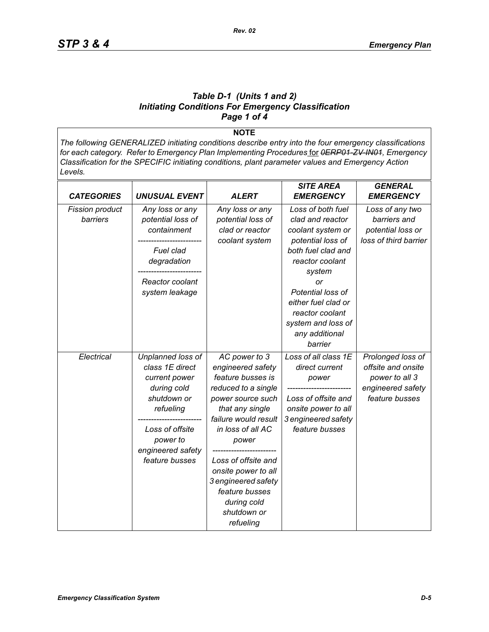#### *Table D-1 (Units 1 and 2) Initiating Conditions For Emergency Classification Page 1 of 4*

**NOTE** *The following GENERALIZED initiating conditions describe entry into the four emergency classifications for each category. Refer to Emergency Plan Implementing Procedures* for *0ERP01-ZV-IN01, Emergency Classification for the SPECIFIC initiating conditions, plant parameter values and Emergency Action Levels.*

|                        |                      |                      | <b>SITE AREA</b>     | <b>GENERAL</b>        |
|------------------------|----------------------|----------------------|----------------------|-----------------------|
| <b>CATEGORIES</b>      | <b>UNUSUAL EVENT</b> | <b>ALERT</b>         | <b>EMERGENCY</b>     | <b>EMERGENCY</b>      |
| <b>Fission product</b> | Any loss or any      | Any loss or any      | Loss of both fuel    | Loss of any two       |
| barriers               | potential loss of    | potential loss of    | clad and reactor     | barriers and          |
|                        | containment          | clad or reactor      | coolant system or    | potential loss or     |
|                        |                      | coolant system       | potential loss of    | loss of third barrier |
|                        | Fuel clad            |                      | both fuel clad and   |                       |
|                        | degradation          |                      | reactor coolant      |                       |
|                        |                      |                      | system               |                       |
|                        | Reactor coolant      |                      | or                   |                       |
|                        | system leakage       |                      | Potential loss of    |                       |
|                        |                      |                      | either fuel clad or  |                       |
|                        |                      |                      | reactor coolant      |                       |
|                        |                      |                      | system and loss of   |                       |
|                        |                      |                      | any additional       |                       |
|                        |                      |                      | barrier              |                       |
| Electrical             | Unplanned loss of    | AC power to 3        | Loss of all class 1E | Prolonged loss of     |
|                        | class 1E direct      | engineered safety    | direct current       | offsite and onsite    |
|                        | current power        | feature busses is    | power                | power to all 3        |
|                        | during cold          | reduced to a single  |                      | engineered safety     |
|                        | shutdown or          | power source such    | Loss of offsite and  | feature busses        |
|                        | refueling            | that any single      | onsite power to all  |                       |
|                        |                      | failure would result | 3 engineered safety  |                       |
|                        | Loss of offsite      | in loss of all AC    | feature busses       |                       |
|                        | power to             | power                |                      |                       |
|                        | engineered safety    |                      |                      |                       |
|                        | feature busses       | Loss of offsite and  |                      |                       |
|                        |                      | onsite power to all  |                      |                       |
|                        |                      | 3 engineered safety  |                      |                       |
|                        |                      | feature busses       |                      |                       |
|                        |                      | during cold          |                      |                       |
|                        |                      | shutdown or          |                      |                       |
|                        |                      | refueling            |                      |                       |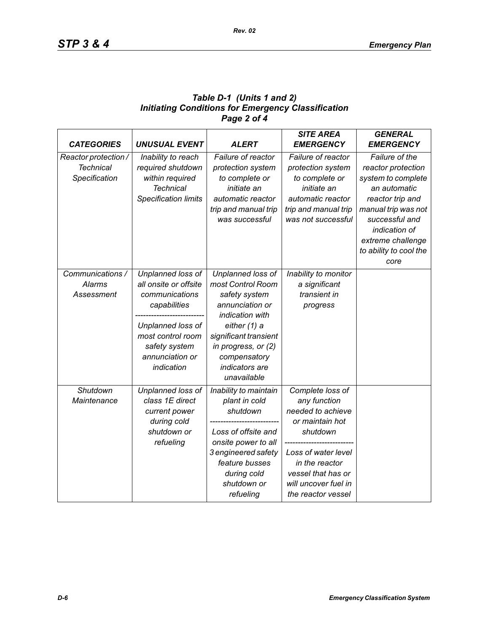## *Table D-1 (Units 1 and 2) Initiating Conditions for Emergency Classification Page 2 of 4*

|                      |                             |                       | <b>SITE AREA</b>     | <b>GENERAL</b>         |
|----------------------|-----------------------------|-----------------------|----------------------|------------------------|
| <b>CATEGORIES</b>    | <b>UNUSUAL EVENT</b>        | <b>ALERT</b>          | <b>EMERGENCY</b>     | <b>EMERGENCY</b>       |
| Reactor protection / | Inability to reach          | Failure of reactor    | Failure of reactor   | Failure of the         |
| <b>Technical</b>     | required shutdown           | protection system     | protection system    | reactor protection     |
| Specification        | within required             | to complete or        | to complete or       | system to complete     |
|                      | <b>Technical</b>            | initiate an           | initiate an          | an automatic           |
|                      | <b>Specification limits</b> | automatic reactor     | automatic reactor    | reactor trip and       |
|                      |                             | trip and manual trip  | trip and manual trip | manual trip was not    |
|                      |                             | was successful        | was not successful   | successful and         |
|                      |                             |                       |                      | indication of          |
|                      |                             |                       |                      | extreme challenge      |
|                      |                             |                       |                      | to ability to cool the |
|                      |                             |                       |                      | core                   |
| Communications /     | Unplanned loss of           | Unplanned loss of     | Inability to monitor |                        |
| Alarms               | all onsite or offsite       | most Control Room     | a significant        |                        |
| Assessment           | communications              | safety system         | transient in         |                        |
|                      | capabilities                | annunciation or       | progress             |                        |
|                      |                             | indication with       |                      |                        |
|                      | Unplanned loss of           | either (1) a          |                      |                        |
|                      | most control room           | significant transient |                      |                        |
|                      | safety system               | in progress, or (2)   |                      |                        |
|                      | annunciation or             | compensatory          |                      |                        |
|                      | indication                  | indicators are        |                      |                        |
|                      |                             | unavailable           |                      |                        |
| Shutdown             | Unplanned loss of           | Inability to maintain | Complete loss of     |                        |
| Maintenance          | class 1E direct             | plant in cold         | any function         |                        |
|                      | current power               | shutdown              | needed to achieve    |                        |
|                      | during cold                 |                       | or maintain hot      |                        |
|                      | shutdown or                 | Loss of offsite and   | shutdown             |                        |
|                      | refueling                   | onsite power to all   |                      |                        |
|                      |                             | 3 engineered safety   | Loss of water level  |                        |
|                      |                             | feature busses        | in the reactor       |                        |
|                      |                             | during cold           | vessel that has or   |                        |
|                      |                             | shutdown or           | will uncover fuel in |                        |
|                      |                             | refueling             | the reactor vessel   |                        |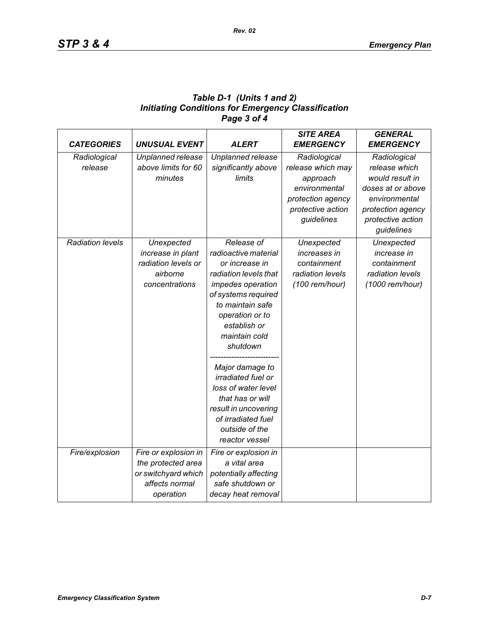| Table D-1 (Units 1 and 2)                                 |
|-----------------------------------------------------------|
| <b>Initiating Conditions for Emergency Classification</b> |
| Page 3 of 4                                               |

|                         |                      |                       | <b>SITE AREA</b><br><b>EMERGENCY</b> | <b>GENERAL</b>    |
|-------------------------|----------------------|-----------------------|--------------------------------------|-------------------|
| <b>CATEGORIES</b>       | <b>UNUSUAL EVENT</b> | <b>ALERT</b>          |                                      | <b>EMERGENCY</b>  |
| Radiological            | Unplanned release    | Unplanned release     | Radiological                         | Radiological      |
| release                 | above limits for 60  | significantly above   | release which may                    | release which     |
|                         | minutes              | <b>limits</b>         | approach                             | would result in   |
|                         |                      |                       | environmental                        | doses at or above |
|                         |                      |                       | protection agency                    | environmental     |
|                         |                      |                       | protective action                    | protection agency |
|                         |                      |                       | guidelines                           | protective action |
|                         |                      |                       |                                      | guidelines        |
| <b>Radiation levels</b> | Unexpected           | Release of            | Unexpected                           | Unexpected        |
|                         | increase in plant    | radioactive material  | increases in                         | increase in       |
|                         | radiation levels or  | or increase in        | containment                          | containment       |
|                         | airborne             | radiation levels that | radiation levels                     | radiation levels  |
|                         | concentrations       | impedes operation     | (100 rem/hour)                       | (1000 rem/hour)   |
|                         |                      | of systems required   |                                      |                   |
|                         |                      | to maintain safe      |                                      |                   |
|                         |                      | operation or to       |                                      |                   |
|                         |                      | establish or          |                                      |                   |
|                         |                      | maintain cold         |                                      |                   |
|                         |                      | shutdown              |                                      |                   |
|                         |                      |                       |                                      |                   |
|                         |                      | Major damage to       |                                      |                   |
|                         |                      | irradiated fuel or    |                                      |                   |
|                         |                      | loss of water level   |                                      |                   |
|                         |                      | that has or will      |                                      |                   |
|                         |                      | result in uncovering  |                                      |                   |
|                         |                      | of irradiated fuel    |                                      |                   |
|                         |                      | outside of the        |                                      |                   |
|                         |                      | reactor vessel        |                                      |                   |
| Fire/explosion          | Fire or explosion in | Fire or explosion in  |                                      |                   |
|                         | the protected area   | a vital area          |                                      |                   |
|                         | or switchyard which  | potentially affecting |                                      |                   |
|                         | affects normal       | safe shutdown or      |                                      |                   |
|                         | operation            | decay heat removal    |                                      |                   |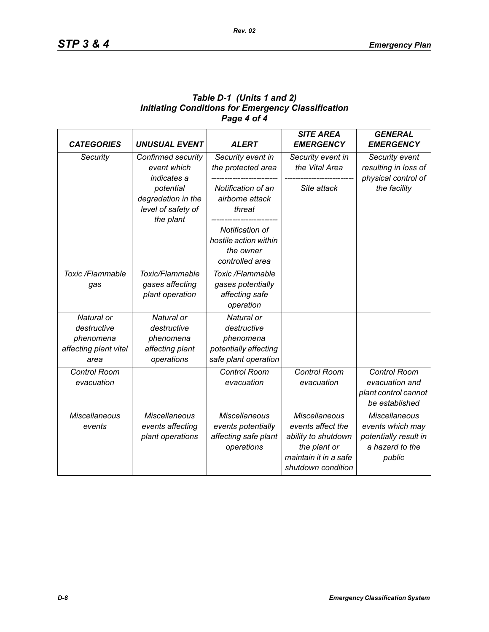## *Table D-1 (Units 1 and 2) Initiating Conditions for Emergency Classification Page 4 of 4*

| <b>CATEGORIES</b>                                                       | <b>UNUSUAL EVENT</b>                                                    | <b>ALERT</b>                                                                            | <b>SITE AREA</b><br><b>EMERGENCY</b>                                                                                            | <b>GENERAL</b><br><b>EMERGENCY</b>                                                             |
|-------------------------------------------------------------------------|-------------------------------------------------------------------------|-----------------------------------------------------------------------------------------|---------------------------------------------------------------------------------------------------------------------------------|------------------------------------------------------------------------------------------------|
| Security                                                                | Confirmed security<br>event which<br>indicates a                        | Security event in<br>the protected area                                                 | Security event in<br>the Vital Area                                                                                             | Security event<br>resulting in loss of<br>physical control of                                  |
|                                                                         | potential<br>degradation in the<br>level of safety of<br>the plant      | Notification of an<br>airborne attack<br>threat                                         | Site attack                                                                                                                     | the facility                                                                                   |
|                                                                         |                                                                         | Notification of<br>hostile action within<br>the owner<br>controlled area                |                                                                                                                                 |                                                                                                |
| Toxic /Flammable<br>gas                                                 | Toxic/Flammable<br>gases affecting<br>plant operation                   | Toxic /Flammable<br>gases potentially<br>affecting safe<br>operation                    |                                                                                                                                 |                                                                                                |
| Natural or<br>destructive<br>phenomena<br>affecting plant vital<br>area | Natural or<br>destructive<br>phenomena<br>affecting plant<br>operations | Natural or<br>destructive<br>phenomena<br>potentially affecting<br>safe plant operation |                                                                                                                                 |                                                                                                |
| <b>Control Room</b><br>evacuation                                       |                                                                         | <b>Control Room</b><br>evacuation                                                       | Control Room<br>evacuation                                                                                                      | Control Room<br>evacuation and<br>plant control cannot<br>be established                       |
| <b>Miscellaneous</b><br>events                                          | <b>Miscellaneous</b><br>events affecting<br>plant operations            | <b>Miscellaneous</b><br>events potentially<br>affecting safe plant<br>operations        | <b>Miscellaneous</b><br>events affect the<br>ability to shutdown<br>the plant or<br>maintain it in a safe<br>shutdown condition | <b>Miscellaneous</b><br>events which may<br>potentially result in<br>a hazard to the<br>public |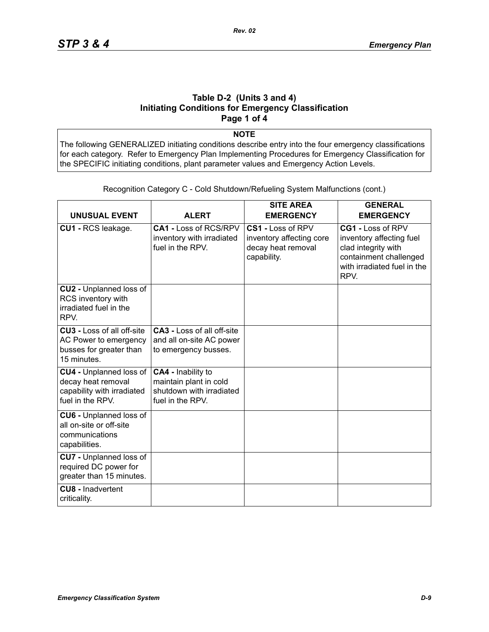#### **Table D-2 (Units 3 and 4) Initiating Conditions for Emergency Classification Page 1 of 4**

**NOTE**

The following GENERALIZED initiating conditions describe entry into the four emergency classifications for each category. Refer to Emergency Plan Implementing Procedures for Emergency Classification for the SPECIFIC initiating conditions, plant parameter values and Emergency Action Levels.

| <b>UNUSUAL EVENT</b>                                                                                   | <b>ALERT</b>                                                                                 | <b>SITE AREA</b><br><b>EMERGENCY</b>                                               | <b>GENERAL</b><br><b>EMERGENCY</b>                                                                                                    |
|--------------------------------------------------------------------------------------------------------|----------------------------------------------------------------------------------------------|------------------------------------------------------------------------------------|---------------------------------------------------------------------------------------------------------------------------------------|
| CU1 - RCS leakage.                                                                                     | <b>CA1 - Loss of RCS/RPV</b><br>inventory with irradiated<br>fuel in the RPV.                | CS1 - Loss of RPV<br>inventory affecting core<br>decay heat removal<br>capability. | CG1 - Loss of RPV<br>inventory affecting fuel<br>clad integrity with<br>containment challenged<br>with irradiated fuel in the<br>RPV. |
| CU2 - Unplanned loss of<br>RCS inventory with<br>irradiated fuel in the<br>RPV.                        |                                                                                              |                                                                                    |                                                                                                                                       |
| <b>CU3 - Loss of all off-site</b><br>AC Power to emergency<br>busses for greater than<br>15 minutes.   | <b>CA3 - Loss of all off-site</b><br>and all on-site AC power<br>to emergency busses.        |                                                                                    |                                                                                                                                       |
| <b>CU4 - Unplanned loss of</b><br>decay heat removal<br>capability with irradiated<br>fuel in the RPV. | CA4 - Inability to<br>maintain plant in cold<br>shutdown with irradiated<br>fuel in the RPV. |                                                                                    |                                                                                                                                       |
| <b>CU6 - Unplanned loss of</b><br>all on-site or off-site<br>communications<br>capabilities.           |                                                                                              |                                                                                    |                                                                                                                                       |
| <b>CU7</b> - Unplanned loss of<br>required DC power for<br>greater than 15 minutes.                    |                                                                                              |                                                                                    |                                                                                                                                       |
| <b>CU8 - Inadvertent</b><br>criticality.                                                               |                                                                                              |                                                                                    |                                                                                                                                       |

Recognition Category C - Cold Shutdown/Refueling System Malfunctions (cont.)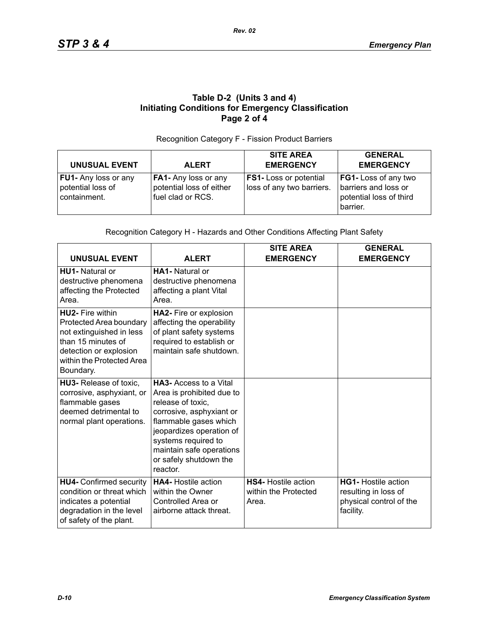## **Table D-2 (Units 3 and 4) Initiating Conditions for Emergency Classification Page 2 of 4**

#### Recognition Category F - Fission Product Barriers

| <b>UNUSUAL EVENT</b>                                             | <b>ALERT</b>                                                          | <b>SITE AREA</b><br><b>EMERGENCY</b>                       | <b>GENERAL</b><br><b>EMERGENCY</b>                                                  |
|------------------------------------------------------------------|-----------------------------------------------------------------------|------------------------------------------------------------|-------------------------------------------------------------------------------------|
| <b>FU1-</b> Any loss or any<br>potential loss of<br>containment. | FA1- Any loss or any<br>potential loss of either<br>fuel clad or RCS. | <b>FS1-</b> Loss or potential<br>loss of any two barriers. | FG1- Loss of any two<br>barriers and loss or<br>potential loss of third<br>barrier. |

#### Recognition Category H - Hazards and Other Conditions Affecting Plant Safety

| <b>UNUSUAL EVENT</b>                                                                                                                                                     | <b>ALERT</b>                                                                                                                                                                                                                                              | <b>SITE AREA</b><br><b>EMERGENCY</b>                        | <b>GENERAL</b><br><b>EMERGENCY</b>                                                         |
|--------------------------------------------------------------------------------------------------------------------------------------------------------------------------|-----------------------------------------------------------------------------------------------------------------------------------------------------------------------------------------------------------------------------------------------------------|-------------------------------------------------------------|--------------------------------------------------------------------------------------------|
| <b>HU1-</b> Natural or<br>destructive phenomena<br>affecting the Protected<br>Area.                                                                                      | HA1- Natural or<br>destructive phenomena<br>affecting a plant Vital<br>Area.                                                                                                                                                                              |                                                             |                                                                                            |
| <b>HU2-</b> Fire within<br>Protected Area boundary<br>not extinguished in less<br>than 15 minutes of<br>detection or explosion<br>within the Protected Area<br>Boundary. | HA2- Fire or explosion<br>affecting the operability<br>of plant safety systems<br>required to establish or<br>maintain safe shutdown.                                                                                                                     |                                                             |                                                                                            |
| HU3- Release of toxic.<br>corrosive, asphyxiant, or<br>flammable gases<br>deemed detrimental to<br>normal plant operations.                                              | <b>HA3-</b> Access to a Vital<br>Area is prohibited due to<br>release of toxic,<br>corrosive, asphyxiant or<br>flammable gases which<br>jeopardizes operation of<br>systems required to<br>maintain safe operations<br>or safely shutdown the<br>reactor. |                                                             |                                                                                            |
| <b>HU4-</b> Confirmed security<br>condition or threat which<br>indicates a potential<br>degradation in the level<br>of safety of the plant.                              | <b>HA4-</b> Hostile action<br>within the Owner<br>Controlled Area or<br>airborne attack threat.                                                                                                                                                           | <b>HS4-</b> Hostile action<br>within the Protected<br>Area. | <b>HG1-</b> Hostile action<br>resulting in loss of<br>physical control of the<br>facility. |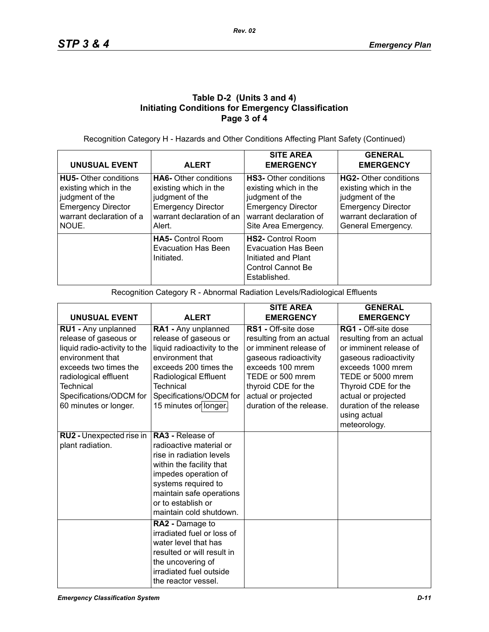## **Table D-2 (Units 3 and 4) Initiating Conditions for Emergency Classification Page 3 of 4**

Recognition Category H - Hazards and Other Conditions Affecting Plant Safety (Continued)

| <b>UNUSUAL EVENT</b>                                                                                                                       | <b>ALERT</b>                                                                                                                                 | <b>SITE AREA</b><br><b>EMERGENCY</b>                                                                                                                    | <b>GENERAL</b><br><b>EMERGENCY</b>                                                                                                             |
|--------------------------------------------------------------------------------------------------------------------------------------------|----------------------------------------------------------------------------------------------------------------------------------------------|---------------------------------------------------------------------------------------------------------------------------------------------------------|------------------------------------------------------------------------------------------------------------------------------------------------|
| <b>HU5-</b> Other conditions<br>existing which in the<br>judgment of the<br><b>Emergency Director</b><br>warrant declaration of a<br>NOUE. | <b>HA6-</b> Other conditions<br>existing which in the<br>judgment of the<br><b>Emergency Director</b><br>warrant declaration of an<br>Alert. | <b>HS3-</b> Other conditions<br>existing which in the<br>judgment of the<br><b>Emergency Director</b><br>warrant declaration of<br>Site Area Emergency. | HG2- Other conditions<br>existing which in the<br>judgment of the<br><b>Emergency Director</b><br>warrant declaration of<br>General Emergency. |
|                                                                                                                                            | <b>HA5-</b> Control Room<br><b>Evacuation Has Been</b><br>Initiated.                                                                         | <b>HS2-</b> Control Room<br>Evacuation Has Been<br>Initiated and Plant<br>Control Cannot Be<br>Established.                                             |                                                                                                                                                |

Recognition Category R - Abnormal Radiation Levels/Radiological Effluents

|                                                                                                  |                                                                                                                                                                                                                                        | <b>SITE AREA</b>                                                                     | <b>GENERAL</b>                                                                         |
|--------------------------------------------------------------------------------------------------|----------------------------------------------------------------------------------------------------------------------------------------------------------------------------------------------------------------------------------------|--------------------------------------------------------------------------------------|----------------------------------------------------------------------------------------|
| <b>UNUSUAL EVENT</b>                                                                             | <b>ALERT</b>                                                                                                                                                                                                                           | <b>EMERGENCY</b>                                                                     | <b>EMERGENCY</b>                                                                       |
| RU1 - Any unplanned<br>release of gaseous or<br>liquid radio-activity to the<br>environment that | RA1 - Any unplanned<br>release of gaseous or<br>liquid radioactivity to the<br>environment that                                                                                                                                        | RS1 - Off-site dose<br>resulting from an actual<br>or imminent release of            | RG1 - Off-site dose<br>resulting from an actual<br>or imminent release of              |
| exceeds two times the<br>radiological effluent<br>Technical                                      | exceeds 200 times the<br><b>Radiological Effluent</b><br>Technical                                                                                                                                                                     | gaseous radioactivity<br>exceeds 100 mrem<br>TEDE or 500 mrem<br>thyroid CDE for the | gaseous radioactivity<br>exceeds 1000 mrem<br>TEDE or 5000 mrem<br>Thyroid CDE for the |
| Specifications/ODCM for<br>60 minutes or longer.                                                 | Specifications/ODCM for<br>15 minutes or longer.                                                                                                                                                                                       | actual or projected<br>duration of the release.                                      | actual or projected<br>duration of the release<br>using actual<br>meteorology.         |
| RU2 - Unexpected rise in<br>plant radiation.                                                     | <b>RA3 - Release of</b><br>radioactive material or<br>rise in radiation levels<br>within the facility that<br>impedes operation of<br>systems required to<br>maintain safe operations<br>or to establish or<br>maintain cold shutdown. |                                                                                      |                                                                                        |
|                                                                                                  | RA2 - Damage to<br>irradiated fuel or loss of<br>water level that has<br>resulted or will result in<br>the uncovering of<br>irradiated fuel outside<br>the reactor vessel.                                                             |                                                                                      |                                                                                        |